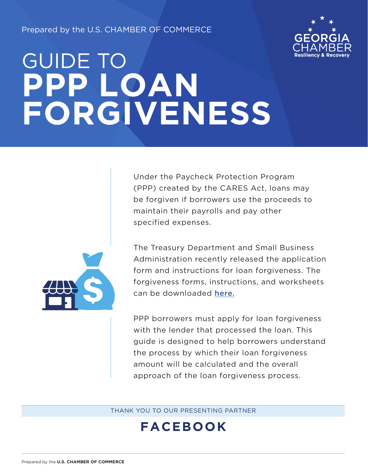Prepared by the U.S. CHAMBER OF COMMERCE



# GUIDE TO **PPP LOAN FORGIVENESS**



Under the Paycheck Protection Program (PPP) created by the CARES Act, loans may be forgiven if borrowers use the proceeds to maintain their payrolls and pay other specified expenses.

The Treasury Department and Small Business Administration recently released the application form and instructions for loan forgiveness. The forgiveness forms, instructions, and worksheets can be downloaded [here.](https://home.treasury.gov/system/files/136/3245-0407-SBA-Form-3508-PPP-Forgiveness-Application.pdf)

PPP borrowers must apply for loan forgiveness with the lender that processed the loan. This guide is designed to help borrowers understand the process by which their loan forgiveness amount will be calculated and the overall approach of the loan forgiveness process.

THANK YOU TO OUR PRESENTING PARTNER

### **FACEBOOK**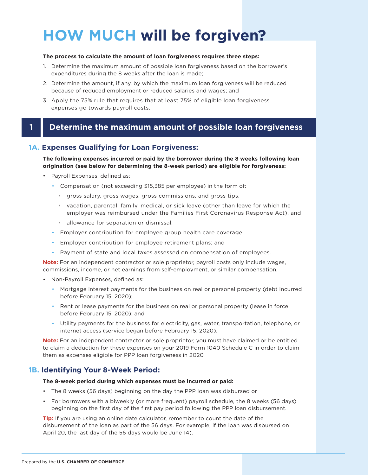# **HOW MUCH will be forgiven?**

#### **The process to calculate the amount of loan forgiveness requires three steps:**

- 1. Determine the maximum amount of possible loan forgiveness based on the borrower's expenditures during the 8 weeks after the loan is made;
- 2. Determine the amount, if any, by which the maximum loan forgiveness will be reduced because of reduced employment or reduced salaries and wages; and
- 3. Apply the 75% rule that requires that at least 75% of eligible loan forgiveness expenses go towards payroll costs.

#### **1 Determine the maximum amount of possible loan forgiveness**

#### **1A. Expenses Qualifying for Loan Forgiveness:**

#### **The following expenses incurred or paid by the borrower during the 8 weeks following loan origination (see below for determining the 8-week period) are eligible for forgiveness:**

- Payroll Expenses, defined as:
	- Compensation (not exceeding \$15,385 per employee) in the form of:
		- gross salary, gross wages, gross commissions, and gross tips,
		- vacation, parental, family, medical, or sick leave (other than leave for which the employer was reimbursed under the Families First Coronavirus Response Act), and
		- allowance for separation or dismissal;
	- Employer contribution for employee group health care coverage;
	- Employer contribution for employee retirement plans; and
	- Payment of state and local taxes assessed on compensation of employees.

**Note:** For an independent contractor or sole proprietor, payroll costs only include wages, commissions, income, or net earnings from self-employment, or similar compensation.

- Non-Payroll Expenses, defined as:
	- Mortgage interest payments for the business on real or personal property (debt incurred before February 15, 2020);
	- Rent or lease payments for the business on real or personal property (lease in force before February 15, 2020); and
	- Utility payments for the business for electricity, gas, water, transportation, telephone, or internet access (service began before February 15, 2020).

**Note:** For an independent contractor or sole proprietor, you must have claimed or be entitled to claim a deduction for these expenses on your 2019 Form 1040 Schedule C in order to claim them as expenses eligible for PPP loan forgiveness in 2020

#### **1B. Identifying Your 8-Week Period:**

#### **The 8-week period during which expenses must be incurred or paid:**

- The 8 weeks (56 days) beginning on the day the PPP loan was disbursed or
- For borrowers with a biweekly (or more frequent) payroll schedule, the 8 weeks (56 days) beginning on the first day of the first pay period following the PPP loan disbursement.

**Tip:** If you are using an online date calculator, remember to count the date of the disbursement of the loan as part of the 56 days. For example, if the loan was disbursed on April 20, the last day of the 56 days would be June 14).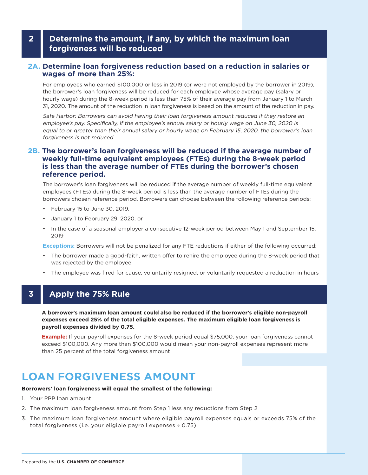#### **2 Determine the amount, if any, by which the maximum loan forgiveness will be reduced**

#### **2A. Determine loan forgiveness reduction based on a reduction in salaries or wages of more than 25%:**

For employees who earned \$100,000 or less in 2019 (or were not employed by the borrower in 2019), the borrower's loan forgiveness will be reduced for each employee whose average pay (salary or hourly wage) during the 8-week period is less than 75% of their average pay from January 1 to March 31, 2020. The amount of the reduction in loan forgiveness is based on the amount of the reduction in pay.

Safe Harbor: Borrowers can avoid having their loan forgiveness amount reduced if they restore an employee's pay. Specifically, if the employee's annual salary or hourly wage on June 30, 2020 is equal to or greater than their annual salary or hourly wage on February 15, 2020, the borrower's loan forgiveness is not reduced.

#### **2B. The borrower's loan forgiveness will be reduced if the average number of weekly full-time equivalent employees (FTEs) during the 8-week period is less than the average number of FTEs during the borrower's chosen reference period.**

The borrower's loan forgiveness will be reduced if the average number of weekly full-time equivalent employees (FTEs) during the 8-week period is less than the average number of FTEs during the borrowers chosen reference period. Borrowers can choose between the following reference periods:

- February 15 to June 30, 2019,
- January 1 to February 29, 2020, or
- In the case of a seasonal employer a consecutive 12-week period between May 1 and September 15, 2019

**Exceptions:** Borrowers will not be penalized for any FTE reductions if either of the following occurred:

- The borrower made a good-faith, written offer to rehire the employee during the 8-week period that was rejected by the employee
- The employee was fired for cause, voluntarily resigned, or voluntarily requested a reduction in hours

#### **3 Apply the 75% Rule**

**A borrower's maximum loan amount could also be reduced if the borrower's eligible non-payroll expenses exceed 25% of the total eligible expenses. The maximum eligible loan forgiveness is payroll expenses divided by 0.75.**

**Example:** If your payroll expenses for the 8-week period equal \$75,000, your loan forgiveness cannot exceed \$100,000. Any more than \$100,000 would mean your non-payroll expenses represent more than 25 percent of the total forgiveness amount

### **LOAN FORGIVENESS AMOUNT**

#### **Borrowers' loan forgiveness will equal the smallest of the following:**

- 1. Your PPP loan amount
- 2. The maximum loan forgiveness amount from Step 1 less any reductions from Step 2
- 3. The maximum loan forgiveness amount where eligible payroll expenses equals or exceeds 75% of the total forgiveness (i.e. your eligible payroll expenses  $\div$  0.75)